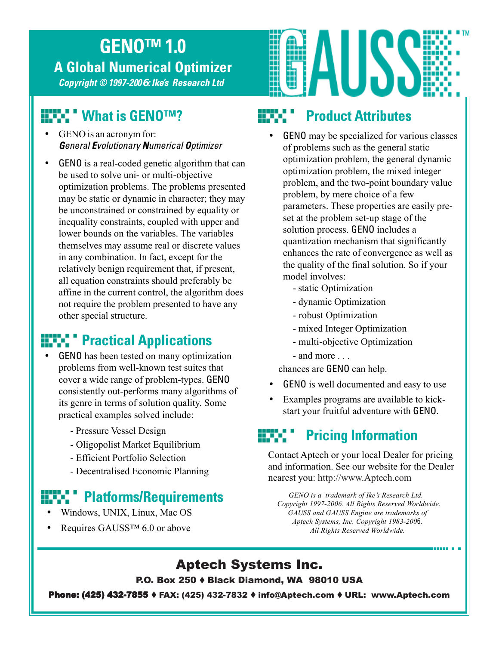## **GENO™ 1.0 A Global Numerical Optimizer**

**Copyright © 1997-2006 : Ike's Research Ltd**

## **What is GENO™?**

- GENO is an acronym for: **G**eneral **E**volutionary **N**umerical **O**ptimizer
- GENO is a real-coded genetic algorithm that can be used to solve uni- or multi-objective optimization problems. The problems presented may be static or dynamic in character; they may be unconstrained or constrained by equality or inequality constraints, coupled with upper and lower bounds on the variables. The variables themselves may assume real or discrete values in any combination. In fact, except for the relatively benign requirement that, if present, all equation constraints should preferably be affine in the current control, the algorithm does not require the problem presented to have any other special structure.

## **EXPLEMENT Practical Applications**

- GENO has been tested on many optimization problems from well-known test suites that cover a wide range of problem-types. GENO consistently out-performs many algorithms of its genre in terms of solution quality. Some practical examples solved include:
	- Pressure Vessel Design
	- Oligopolist Market Equilibrium
	- Efficient Portfolio Selection
	- Decentralised Economic Planning

#### **Platforms/Requirements**

- Windows, UNIX, Linux, Mac OS
- Requires GAUSS<sup>™</sup> 6.0 or above



## **Product Attributes**

- GENO may be specialized for various classes of problems such as the general static optimization problem, the general dynamic optimization problem, the mixed integer problem, and the two-point boundary value problem, by mere choice of a few parameters. These properties are easily preset at the problem set-up stage of the solution process. GENO includes a quantization mechanism that significantly enhances the rate of convergence as well as the quality of the final solution. So if your model involves:
	- static Optimization
	- dynamic Optimization
	- robust Optimization
	- mixed Integer Optimization
	- multi-objective Optimization
	- and more

chances are GENO can help.

- GENO is well documented and easy to use
- Examples programs are available to kickstart your fruitful adventure with GENO.

# **Pricing Information**

Contact Aptech or your local Dealer for pricing and information. See our website for the Dealer nearest you: http://www.Aptech.com

*GENO is a trademark of Ike's Research Ltd. Copyright 1997-2006. All Rights Reserved Worldwide. GAUSS and GAUSS Engine are trademarks of Aptech Systems, Inc. Copyright 1983-2006. All Rights Reserved Worldwide.*

#### Aptech Systems Inc.

P.O. Box 250 Black Diamond, WA 98010 USA

**Phone: (425) 432-7855 ♦ FAX: (425) 432-7832 ♦ info@Aptech.com ♦ URL: www.Aptech.com**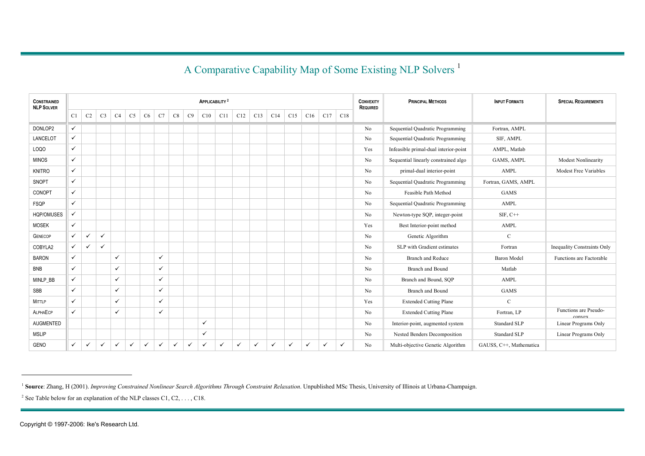#### A Comparative Capability Map of Some Existing NLP Solvers<sup>1</sup>

| <b>CONSTRAINED</b><br><b>NLP SOLVER</b> |              |                |                |              |                |              |              |              |              | APPLICABILITY <sup>2</sup> |              |              |              |              |              |              |              |              | <b>CONVEXITY</b><br><b>REQUIRED</b> | <b>PRINCIPAL METHODS</b>              | <b>INPUT FORMATS</b>    | <b>SPECIAL REQUIREMENTS</b>     |
|-----------------------------------------|--------------|----------------|----------------|--------------|----------------|--------------|--------------|--------------|--------------|----------------------------|--------------|--------------|--------------|--------------|--------------|--------------|--------------|--------------|-------------------------------------|---------------------------------------|-------------------------|---------------------------------|
|                                         | C1           | C <sub>2</sub> | C <sub>3</sub> | C4           | C <sub>5</sub> | C6           | C7           | C8           | C9           | C10                        | C11          | C12          | C13          | C14          | C15          | C16          | C17          | C18          |                                     |                                       |                         |                                 |
| DONLOP2                                 | $\checkmark$ |                |                |              |                |              |              |              |              |                            |              |              |              |              |              |              |              |              | No                                  | Sequential Quadratic Programming      | Fortran, AMPL           |                                 |
| LANCELOT                                | ✓            |                |                |              |                |              |              |              |              |                            |              |              |              |              |              |              |              |              | No                                  | Sequential Quadratic Programming      | SIF, AMPL               |                                 |
| LOQO                                    | ✓            |                |                |              |                |              |              |              |              |                            |              |              |              |              |              |              |              |              | Yes                                 | Infeasible primal-dual interior-point | AMPL, Matlab            |                                 |
| <b>MINOS</b>                            | ✓            |                |                |              |                |              |              |              |              |                            |              |              |              |              |              |              |              |              | No                                  | Sequential linearly constrained algo  | <b>GAMS, AMPL</b>       | <b>Modest Nonlinearity</b>      |
| <b>KNITRO</b>                           | $\checkmark$ |                |                |              |                |              |              |              |              |                            |              |              |              |              |              |              |              |              | No                                  | primal-dual interior-point            | AMPL                    | Modest Free Variables           |
| SNOPT                                   | $\checkmark$ |                |                |              |                |              |              |              |              |                            |              |              |              |              |              |              |              |              | No                                  | Sequential Quadratic Programming      | Fortran, GAMS, AMPL     |                                 |
| CONOPT                                  | $\checkmark$ |                |                |              |                |              |              |              |              |                            |              |              |              |              |              |              |              |              | No                                  | Feasible Path Method                  | <b>GAMS</b>             |                                 |
| <b>FSQP</b>                             | $\checkmark$ |                |                |              |                |              |              |              |              |                            |              |              |              |              |              |              |              |              | No                                  | Sequential Quadratic Programming      | AMPL                    |                                 |
| HQP/OMUSES                              | ✓            |                |                |              |                |              |              |              |              |                            |              |              |              |              |              |              |              |              | No                                  | Newton-type SQP, integer-point        | $SIF, C++$              |                                 |
| <b>MOSEK</b>                            | ✓            |                |                |              |                |              |              |              |              |                            |              |              |              |              |              |              |              |              | Yes                                 | Best Interior-point method            | AMPL                    |                                 |
| <b>GENECOP</b>                          | $\checkmark$ | $\checkmark$   | $\checkmark$   |              |                |              |              |              |              |                            |              |              |              |              |              |              |              |              | No                                  | Genetic Algorithm                     | $\mathcal{C}$           |                                 |
| COBYLA2                                 | $\checkmark$ | $\checkmark$   | $\checkmark$   |              |                |              |              |              |              |                            |              |              |              |              |              |              |              |              | No                                  | SLP with Gradient estimates           | Fortran                 | Inequality Constraints Only     |
| <b>BARON</b>                            | $\checkmark$ |                |                | $\checkmark$ |                |              | $\checkmark$ |              |              |                            |              |              |              |              |              |              |              |              | No                                  | <b>Branch and Reduce</b>              | <b>Baron Model</b>      | Functions are Factorable        |
| <b>BNB</b>                              | $\checkmark$ |                |                | $\checkmark$ |                |              | $\checkmark$ |              |              |                            |              |              |              |              |              |              |              |              | No                                  | <b>Branch</b> and Bound               | Matlab                  |                                 |
| MINLP_BB                                | $\checkmark$ |                |                | $\checkmark$ |                |              | $\checkmark$ |              |              |                            |              |              |              |              |              |              |              |              | No                                  | Branch and Bound, SQP                 | AMPL                    |                                 |
| SBB                                     | $\checkmark$ |                |                | $\checkmark$ |                |              | $\checkmark$ |              |              |                            |              |              |              |              |              |              |              |              | No                                  | <b>Branch and Bound</b>               | <b>GAMS</b>             |                                 |
| MITTLP                                  | ✓            |                |                | $\checkmark$ |                |              | $\checkmark$ |              |              |                            |              |              |              |              |              |              |              |              | Yes                                 | <b>Extended Cutting Plane</b>         | $\mathcal{C}$           |                                 |
| ALPHAECP                                | ✓            |                |                | $\checkmark$ |                |              | $\checkmark$ |              |              |                            |              |              |              |              |              |              |              |              | No                                  | <b>Extended Cutting Plane</b>         | Fortran, LP             | Functions are Pseudo-<br>convex |
| <b>AUGMENTED</b>                        |              |                |                |              |                |              |              |              |              | $\checkmark$               |              |              |              |              |              |              |              |              | No                                  | Interior-point, augmented system      | Standard SLP            | Linear Programs Only            |
| <b>MSLIP</b>                            |              |                |                |              |                |              |              |              |              | $\checkmark$               |              |              |              |              |              |              |              |              | No                                  | Nested Benders Decomposition          | <b>Standard SLP</b>     | Linear Programs Only            |
| <b>GENO</b>                             | $\checkmark$ | $\checkmark$   | $\checkmark$   | $\checkmark$ | $\checkmark$   | $\checkmark$ | $\checkmark$ | $\checkmark$ | $\checkmark$ | $\checkmark$               | $\checkmark$ | $\checkmark$ | $\checkmark$ | $\checkmark$ | $\checkmark$ | $\checkmark$ | $\checkmark$ | $\checkmark$ | No                                  | Multi-objective Genetic Algorithm     | GAUSS, C++, Mathematica |                                 |

<sup>&</sup>lt;sup>1</sup> Source: Zhang, H (2001). Improving Constrained Nonlinear Search Algorithms Through Constraint Relaxation. Unpublished MSc Thesis, University of Illinois at Urbana-Champaign.

<sup>&</sup>lt;sup>2</sup> See Table below for an explanation of the NLP classes C1, C2, ..., C18.